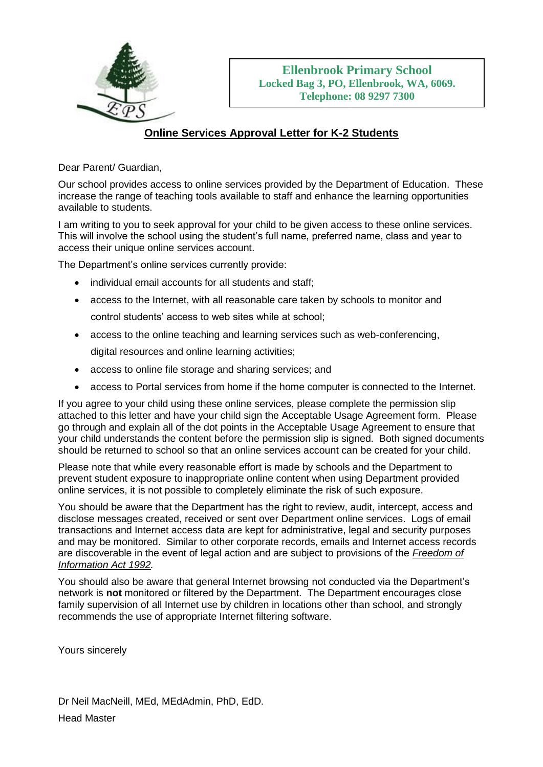

## **Online Services Approval Letter for K-2 Students**

Dear Parent/ Guardian,

Our school provides access to online services provided by the Department of Education. These increase the range of teaching tools available to staff and enhance the learning opportunities available to students.

I am writing to you to seek approval for your child to be given access to these online services. This will involve the school using the student's full name, preferred name, class and year to access their unique online services account.

The Department's online services currently provide:

- individual email accounts for all students and staff;
- access to the Internet, with all reasonable care taken by schools to monitor and control students' access to web sites while at school;
- access to the online teaching and learning services such as web-conferencing, digital resources and online learning activities;
- access to online file storage and sharing services; and
- access to Portal services from home if the home computer is connected to the Internet.

If you agree to your child using these online services, please complete the permission slip attached to this letter and have your child sign the Acceptable Usage Agreement form. Please go through and explain all of the dot points in the Acceptable Usage Agreement to ensure that your child understands the content before the permission slip is signed. Both signed documents should be returned to school so that an online services account can be created for your child.

Please note that while every reasonable effort is made by schools and the Department to prevent student exposure to inappropriate online content when using Department provided online services, it is not possible to completely eliminate the risk of such exposure.

You should be aware that the Department has the right to review, audit, intercept, access and disclose messages created, received or sent over Department online services. Logs of email transactions and Internet access data are kept for administrative, legal and security purposes and may be monitored. Similar to other corporate records, emails and Internet access records are discoverable in the event of legal action and are subject to provisions of the *[Freedom of](http://www.slp.wa.gov.au/legislation/statutes.nsf/main_mrtitle_353_homepage.html)  [Information Act 1992.](http://www.slp.wa.gov.au/legislation/statutes.nsf/main_mrtitle_353_homepage.html)* 

You should also be aware that general Internet browsing not conducted via the Department's network is **not** monitored or filtered by the Department. The Department encourages close family supervision of all Internet use by children in locations other than school, and strongly recommends the use of appropriate Internet filtering software.

Yours sincerely

Dr Neil MacNeill, MEd, MEdAdmin, PhD, EdD. Head Master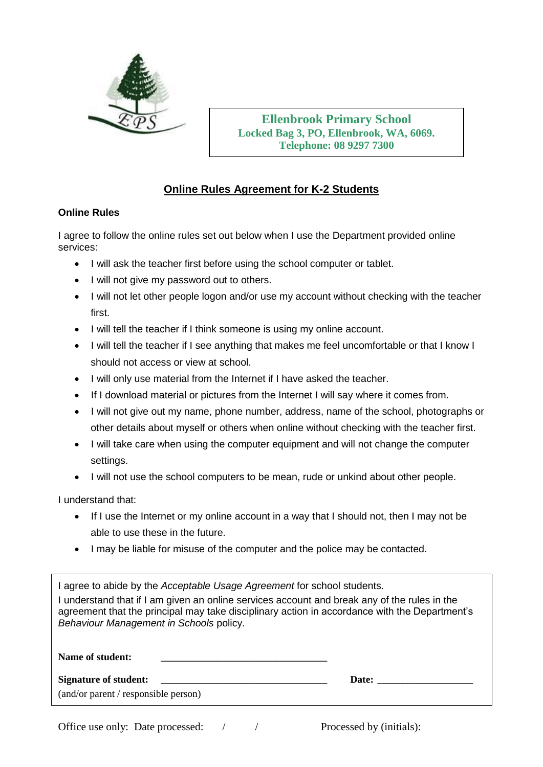

**Ellenbrook Primary School Locked Bag 3, PO, Ellenbrook, WA, 6069. Telephone: 08 9297 7300**

## **Online Rules Agreement for K-2 Students**

## **Online Rules**

I agree to follow the online rules set out below when I use the Department provided online services:

- I will ask the teacher first before using the school computer or tablet.
- I will not give my password out to others.
- I will not let other people logon and/or use my account without checking with the teacher first.
- I will tell the teacher if I think someone is using my online account.
- I will tell the teacher if I see anything that makes me feel uncomfortable or that I know I should not access or view at school.
- I will only use material from the Internet if I have asked the teacher.
- If I download material or pictures from the Internet I will say where it comes from.
- I will not give out my name, phone number, address, name of the school, photographs or other details about myself or others when online without checking with the teacher first.
- I will take care when using the computer equipment and will not change the computer settings.
- I will not use the school computers to be mean, rude or unkind about other people.

I understand that:

- If I use the Internet or my online account in a way that I should not, then I may not be able to use these in the future.
- I may be liable for misuse of the computer and the police may be contacted.

I agree to abide by the *Acceptable Usage Agreement* for school students.

I understand that if I am given an online services account and break any of the rules in the agreement that the principal may take disciplinary action in accordance with the Department's *Behaviour Management in Schools* policy.

| Name of student:                     |       |  |
|--------------------------------------|-------|--|
| <b>Signature of student:</b>         | Date: |  |
| (and/or parent / responsible person) |       |  |
|                                      |       |  |

Office use only: Date processed: / / Processed by (initials):